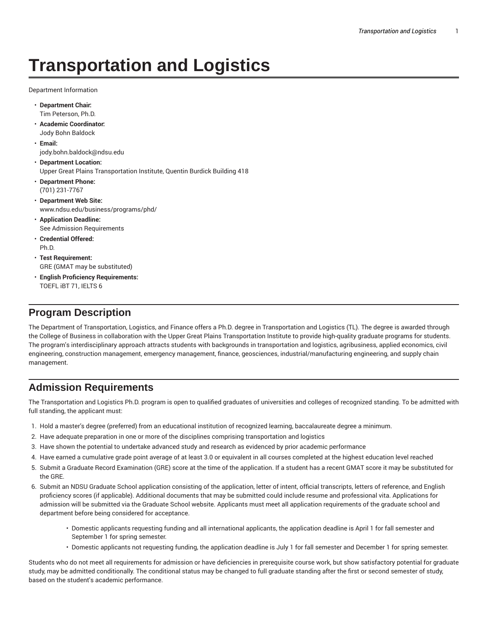# **Transportation and Logistics**

Department Information

- **Department Chair:** Tim Peterson, Ph.D.
- **Academic Coordinator:** Jody Bohn Baldock
- **Email:** jody.bohn.baldock@ndsu.edu
- **Department Location:** Upper Great Plains Transportation Institute, Quentin Burdick Building 418
- **Department Phone:** (701) 231-7767
- **Department Web Site:** www.ndsu.edu/business/programs/phd/
- **Application Deadline:** See Admission Requirements
- **Credential Offered:** Ph.D.
- **Test Requirement:** GRE (GMAT may be substituted)
- **English Proficiency Requirements:** TOEFL iBT 71, IELTS 6

### **Program Description**

The Department of Transportation, Logistics, and Finance offers a Ph.D. degree in Transportation and Logistics (TL). The degree is awarded through the College of Business in collaboration with the Upper Great Plains Transportation Institute to provide high-quality graduate programs for students. The program's interdisciplinary approach attracts students with backgrounds in transportation and logistics, agribusiness, applied economics, civil engineering, construction management, emergency management, finance, geosciences, industrial/manufacturing engineering, and supply chain management.

# **Admission Requirements**

The Transportation and Logistics Ph.D. program is open to qualified graduates of universities and colleges of recognized standing. To be admitted with full standing, the applicant must:

- 1. Hold a master's degree (preferred) from an educational institution of recognized learning, baccalaureate degree a minimum.
- 2. Have adequate preparation in one or more of the disciplines comprising transportation and logistics
- 3. Have shown the potential to undertake advanced study and research as evidenced by prior academic performance
- 4. Have earned a cumulative grade point average of at least 3.0 or equivalent in all courses completed at the highest education level reached
- 5. Submit a Graduate Record Examination (GRE) score at the time of the application. If a student has a recent GMAT score it may be substituted for the GRE.
- 6. Submit an NDSU Graduate School application consisting of the application, letter of intent, official transcripts, letters of reference, and English proficiency scores (if applicable). Additional documents that may be submitted could include resume and professional vita. Applications for admission will be submitted via the Graduate School website. Applicants must meet all application requirements of the graduate school and department before being considered for acceptance.
	- Domestic applicants requesting funding and all international applicants, the application deadline is April 1 for fall semester and September 1 for spring semester.
	- Domestic applicants not requesting funding, the application deadline is July 1 for fall semester and December 1 for spring semester.

Students who do not meet all requirements for admission or have deficiencies in prerequisite course work, but show satisfactory potential for graduate study, may be admitted conditionally. The conditional status may be changed to full graduate standing after the first or second semester of study, based on the student's academic performance.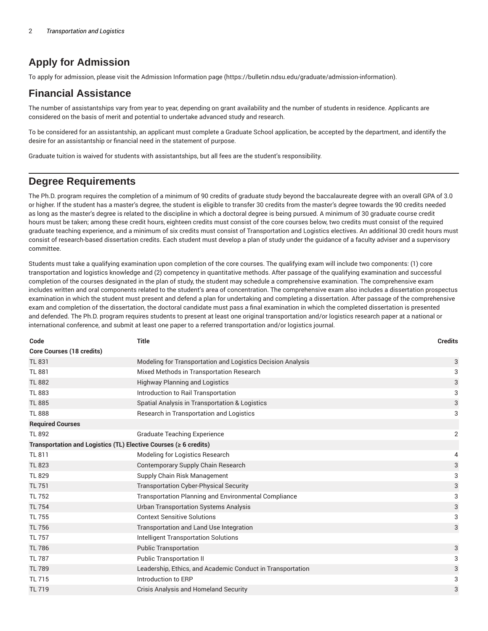# **Apply for Admission**

To apply for admission, please visit the Admission Information page (https://bulletin.ndsu.edu/graduate/admission-information).

### **Financial Assistance**

The number of assistantships vary from year to year, depending on grant availability and the number of students in residence. Applicants are considered on the basis of merit and potential to undertake advanced study and research.

To be considered for an assistantship, an applicant must complete a Graduate School application, be accepted by the department, and identify the desire for an assistantship or financial need in the statement of purpose.

Graduate tuition is waived for students with assistantships, but all fees are the student's responsibility.

### **Degree Requirements**

The Ph.D. program requires the completion of a minimum of 90 credits of graduate study beyond the baccalaureate degree with an overall GPA of 3.0 or higher. If the student has a master's degree, the student is eligible to transfer 30 credits from the master's degree towards the 90 credits needed as long as the master's degree is related to the discipline in which a doctoral degree is being pursued. A minimum of 30 graduate course credit hours must be taken; among these credit hours, eighteen credits must consist of the core courses below, two credits must consist of the required graduate teaching experience, and a minimum of six credits must consist of Transportation and Logistics electives. An additional 30 credit hours must consist of research-based dissertation credits. Each student must develop a plan of study under the guidance of a faculty adviser and a supervisory committee.

Students must take a qualifying examination upon completion of the core courses. The qualifying exam will include two components: (1) core transportation and logistics knowledge and (2) competency in quantitative methods. After passage of the qualifying examination and successful completion of the courses designated in the plan of study, the student may schedule a comprehensive examination. The comprehensive exam includes written and oral components related to the student's area of concentration. The comprehensive exam also includes a dissertation prospectus examination in which the student must present and defend a plan for undertaking and completing a dissertation. After passage of the comprehensive exam and completion of the dissertation, the doctoral candidate must pass a final examination in which the completed dissertation is presented and defended. The Ph.D. program requires students to present at least one original transportation and/or logistics research paper at a national or international conference, and submit at least one paper to a referred transportation and/or logistics journal.

| Code                             | <b>Title</b>                                                           | <b>Credits</b> |
|----------------------------------|------------------------------------------------------------------------|----------------|
| <b>Core Courses (18 credits)</b> |                                                                        |                |
| <b>TL 831</b>                    | Modeling for Transportation and Logistics Decision Analysis            | 3              |
| <b>TL 881</b>                    | Mixed Methods in Transportation Research                               | 3              |
| <b>TL 882</b>                    | <b>Highway Planning and Logistics</b>                                  | 3              |
| <b>TL 883</b>                    | Introduction to Rail Transportation                                    | 3              |
| <b>TL 885</b>                    | Spatial Analysis in Transportation & Logistics                         | 3              |
| <b>TL 888</b>                    | Research in Transportation and Logistics                               | 3              |
| <b>Required Courses</b>          |                                                                        |                |
| <b>TL 892</b>                    | <b>Graduate Teaching Experience</b>                                    | $\overline{2}$ |
|                                  | Transportation and Logistics (TL) Elective Courses ( $\geq 6$ credits) |                |
| TL 811                           | Modeling for Logistics Research                                        | 4              |
| <b>TL 823</b>                    | Contemporary Supply Chain Research                                     | 3              |
| <b>TL 829</b>                    | Supply Chain Risk Management                                           | 3              |
| <b>TL 751</b>                    | <b>Transportation Cyber-Physical Security</b>                          | 3              |
| <b>TL 752</b>                    | <b>Transportation Planning and Environmental Compliance</b>            | 3              |
| <b>TL 754</b>                    | <b>Urban Transportation Systems Analysis</b>                           | 3              |
| <b>TL 755</b>                    | <b>Context Sensitive Solutions</b>                                     | 3              |
| <b>TL 756</b>                    | Transportation and Land Use Integration                                | 3              |
| <b>TL 757</b>                    | <b>Intelligent Transportation Solutions</b>                            |                |
| <b>TL 786</b>                    | <b>Public Transportation</b>                                           | 3              |
| <b>TL 787</b>                    | <b>Public Transportation II</b>                                        | 3              |
| <b>TL 789</b>                    | Leadership, Ethics, and Academic Conduct in Transportation             | 3              |
| <b>TL 715</b>                    | Introduction to ERP                                                    | 3              |
| <b>TL 719</b>                    | <b>Crisis Analysis and Homeland Security</b>                           | 3              |
|                                  |                                                                        |                |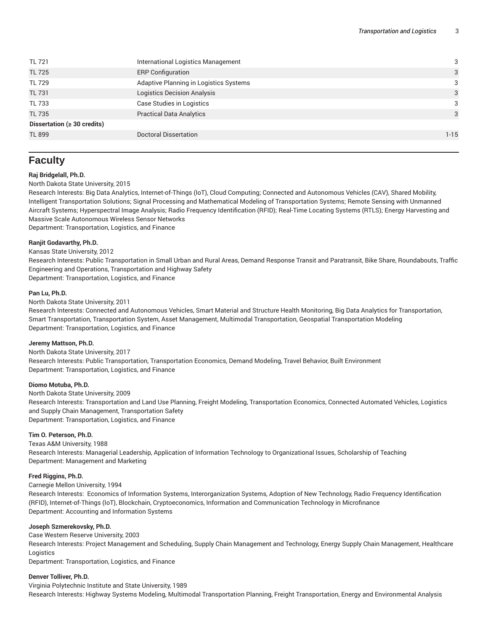| <b>TL 721</b>                     | International Logistics Management     | 3        |
|-----------------------------------|----------------------------------------|----------|
| <b>TL 725</b>                     | <b>ERP Configuration</b>               | 3        |
| <b>TL 729</b>                     | Adaptive Planning in Logistics Systems | 3        |
| <b>TL 731</b>                     | Logistics Decision Analysis            | 3        |
| <b>TL 733</b>                     | Case Studies in Logistics              | 3        |
| <b>TL 735</b>                     | <b>Practical Data Analytics</b>        | 3        |
| Dissertation ( $\geq 30$ credits) |                                        |          |
| <b>TL 899</b>                     | Doctoral Dissertation                  | $1 - 15$ |
|                                   |                                        |          |

## **Faculty**

#### **Raj Bridgelall, Ph.D.**

#### North Dakota State University, 2015

Research Interests: Big Data Analytics, Internet-of-Things (IoT), Cloud Computing; Connected and Autonomous Vehicles (CAV), Shared Mobility, Intelligent Transportation Solutions; Signal Processing and Mathematical Modeling of Transportation Systems; Remote Sensing with Unmanned Aircraft Systems; Hyperspectral Image Analysis; Radio Frequency Identification (RFID); Real-Time Locating Systems (RTLS); Energy Harvesting and Massive Scale Autonomous Wireless Sensor Networks

Department: Transportation, Logistics, and Finance

#### **Ranjit Godavarthy, Ph.D.**

Kansas State University, 2012

Research Interests: Public Transportation in Small Urban and Rural Areas, Demand Response Transit and Paratransit, Bike Share, Roundabouts, Traffic Engineering and Operations, Transportation and Highway Safety Department: Transportation, Logistics, and Finance

#### **Pan Lu, Ph.D.**

North Dakota State University, 2011

Research Interests: Connected and Autonomous Vehicles, Smart Material and Structure Health Monitoring, Big Data Analytics for Transportation, Smart Transportation, Transportation System, Asset Management, Multimodal Transportation, Geospatial Transportation Modeling Department: Transportation, Logistics, and Finance

#### **Jeremy Mattson, Ph.D.**

North Dakota State University, 2017 Research Interests: Public Transportation, Transportation Economics, Demand Modeling, Travel Behavior, Built Environment Department: Transportation, Logistics, and Finance

#### **Diomo Motuba, Ph.D.**

North Dakota State University, 2009 Research Interests: Transportation and Land Use Planning, Freight Modeling, Transportation Economics, Connected Automated Vehicles, Logistics and Supply Chain Management, Transportation Safety Department: Transportation, Logistics, and Finance

#### **Tim O. Peterson, Ph.D.**

Texas A&M University, 1988

Research Interests: Managerial Leadership, Application of Information Technology to Organizational Issues, Scholarship of Teaching Department: Management and Marketing

#### **Fred Riggins, Ph.D.**

Carnegie Mellon University, 1994

Research Interests: Economics of Information Systems, Interorganization Systems, Adoption of New Technology, Radio Frequency Identification (RFID), Internet-of-Things (IoT), Blockchain, Cryptoeconomics, Information and Communication Technology in Microfinance Department: Accounting and Information Systems

#### **Joseph Szmerekovsky, Ph.D.**

Case Western Reserve University, 2003 Research Interests: Project Management and Scheduling, Supply Chain Management and Technology, Energy Supply Chain Management, Healthcare Logistics Department: Transportation, Logistics, and Finance

#### **Denver Tolliver, Ph.D.**

Virginia Polytechnic Institute and State University, 1989 Research Interests: Highway Systems Modeling, Multimodal Transportation Planning, Freight Transportation, Energy and Environmental Analysis